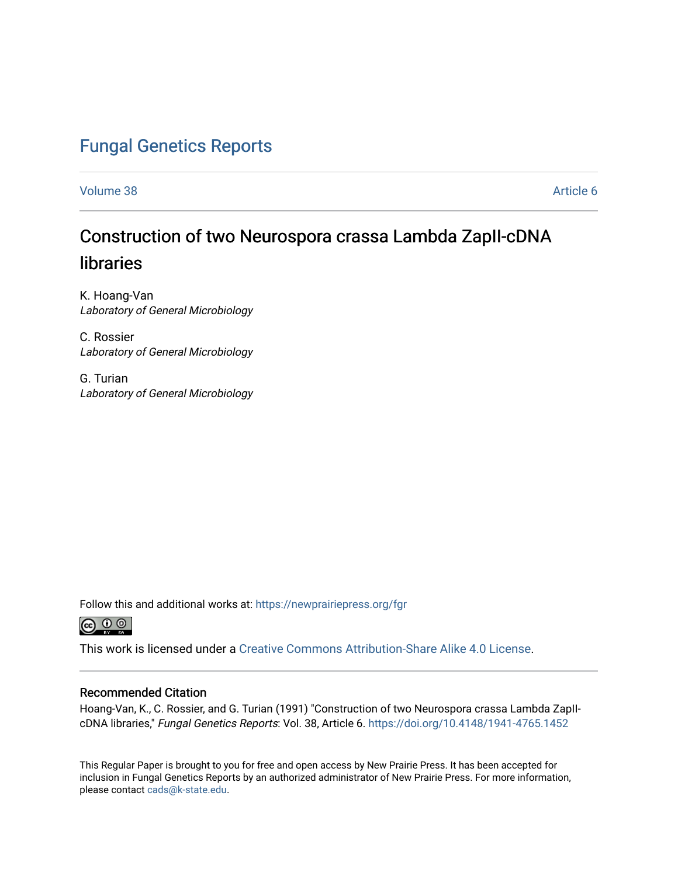# [Fungal Genetics Reports](https://newprairiepress.org/fgr)

[Volume 38](https://newprairiepress.org/fgr/vol38) Article 6

# Construction of two Neurospora crassa Lambda ZapII-cDNA libraries

K. Hoang-Van Laboratory of General Microbiology

C. Rossier Laboratory of General Microbiology

G. Turian Laboratory of General Microbiology

Follow this and additional works at: [https://newprairiepress.org/fgr](https://newprairiepress.org/fgr?utm_source=newprairiepress.org%2Ffgr%2Fvol38%2Fiss1%2F6&utm_medium=PDF&utm_campaign=PDFCoverPages) 



This work is licensed under a [Creative Commons Attribution-Share Alike 4.0 License.](https://creativecommons.org/licenses/by-sa/4.0/)

#### Recommended Citation

Hoang-Van, K., C. Rossier, and G. Turian (1991) "Construction of two Neurospora crassa Lambda ZapIIcDNA libraries," Fungal Genetics Reports: Vol. 38, Article 6. <https://doi.org/10.4148/1941-4765.1452>

This Regular Paper is brought to you for free and open access by New Prairie Press. It has been accepted for inclusion in Fungal Genetics Reports by an authorized administrator of New Prairie Press. For more information, please contact [cads@k-state.edu.](mailto:cads@k-state.edu)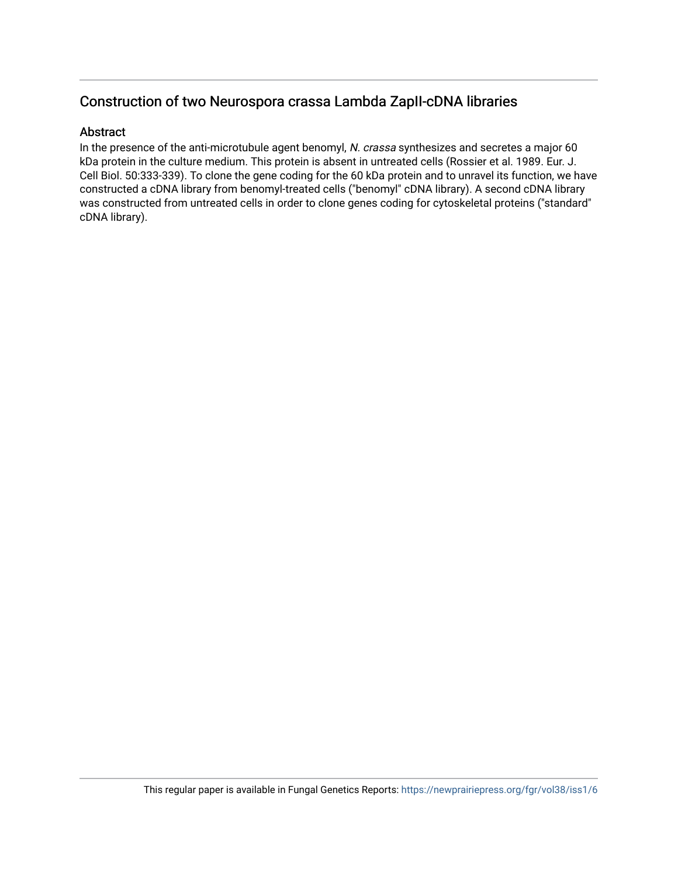# Construction of two Neurospora crassa Lambda ZapII-cDNA libraries

#### Abstract

In the presence of the anti-microtubule agent benomyl, N. crassa synthesizes and secretes a major 60 kDa protein in the culture medium. This protein is absent in untreated cells (Rossier et al. 1989. Eur. J. Cell Biol. 50:333-339). To clone the gene coding for the 60 kDa protein and to unravel its function, we have constructed a cDNA library from benomyl-treated cells ("benomyl" cDNA library). A second cDNA library was constructed from untreated cells in order to clone genes coding for cytoskeletal proteins ("standard" cDNA library).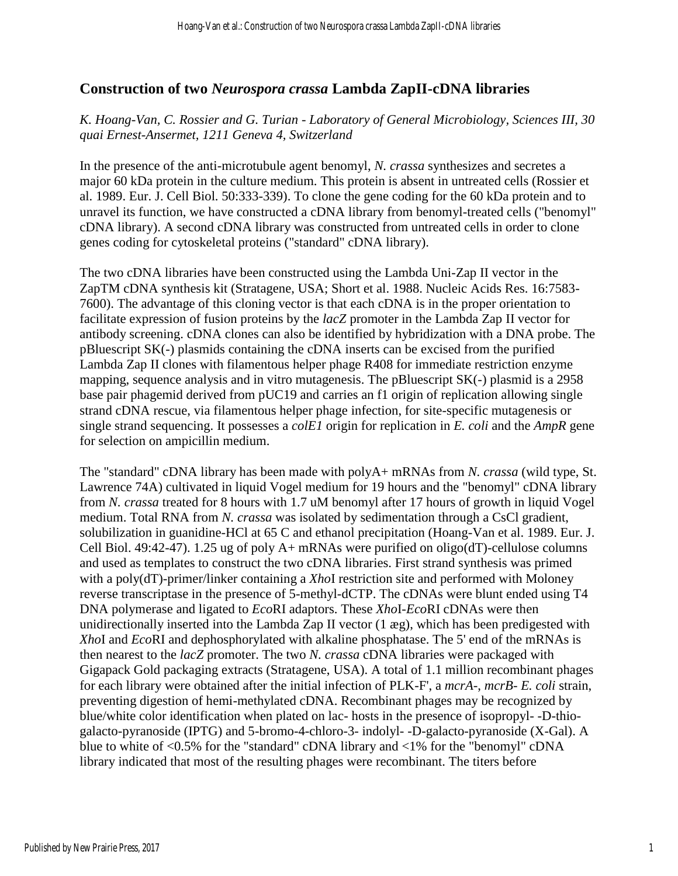## **Construction of two** *Neurospora crassa* **Lambda ZapII-cDNA libraries**

### *K. Hoang-Van, C. Rossier and G. Turian - Laboratory of General Microbiology, Sciences III, 30 quai Ernest-Ansermet, 1211 Geneva 4, Switzerland*

In the presence of the anti-microtubule agent benomyl, *N. crassa* synthesizes and secretes a major 60 kDa protein in the culture medium. This protein is absent in untreated cells (Rossier et al. 1989. Eur. J. Cell Biol. 50:333-339). To clone the gene coding for the 60 kDa protein and to unravel its function, we have constructed a cDNA library from benomyl-treated cells ("benomyl" cDNA library). A second cDNA library was constructed from untreated cells in order to clone genes coding for cytoskeletal proteins ("standard" cDNA library).

The two cDNA libraries have been constructed using the Lambda Uni-Zap II vector in the ZapTM cDNA synthesis kit (Stratagene, USA; Short et al. 1988. Nucleic Acids Res. 16:7583- 7600). The advantage of this cloning vector is that each cDNA is in the proper orientation to facilitate expression of fusion proteins by the *lacZ* promoter in the Lambda Zap II vector for antibody screening. cDNA clones can also be identified by hybridization with a DNA probe. The pBluescript SK(-) plasmids containing the cDNA inserts can be excised from the purified Lambda Zap II clones with filamentous helper phage R408 for immediate restriction enzyme mapping, sequence analysis and in vitro mutagenesis. The pBluescript SK(-) plasmid is a 2958 base pair phagemid derived from pUC19 and carries an f1 origin of replication allowing single strand cDNA rescue, via filamentous helper phage infection, for site-specific mutagenesis or single strand sequencing. It possesses a *colE1* origin for replication in *E. coli* and the *AmpR* gene for selection on ampicillin medium.

The "standard" cDNA library has been made with polyA+ mRNAs from *N. crassa* (wild type, St. Lawrence 74A) cultivated in liquid Vogel medium for 19 hours and the "benomyl" cDNA library from *N. crassa* treated for 8 hours with 1.7 uM benomyl after 17 hours of growth in liquid Vogel medium. Total RNA from *N. crassa* was isolated by sedimentation through a CsCl gradient, solubilization in guanidine-HCl at 65 C and ethanol precipitation (Hoang-Van et al. 1989. Eur. J. Cell Biol. 49:42-47). 1.25 ug of poly A+ mRNAs were purified on oligo(dT)-cellulose columns and used as templates to construct the two cDNA libraries. First strand synthesis was primed with a poly(dT)-primer/linker containing a *Xho*I restriction site and performed with Moloney reverse transcriptase in the presence of 5-methyl-dCTP. The cDNAs were blunt ended using T4 DNA polymerase and ligated to *Eco*RI adaptors. These *Xho*I-*Eco*RI cDNAs were then unidirectionally inserted into the Lambda Zap II vector (1 æg), which has been predigested with *Xho*I and *Eco*RI and dephosphorylated with alkaline phosphatase. The 5' end of the mRNAs is then nearest to the *lacZ* promoter. The two *N. crassa* cDNA libraries were packaged with Gigapack Gold packaging extracts (Stratagene, USA). A total of 1.1 million recombinant phages for each library were obtained after the initial infection of PLK-F', a *mcrA*-, *mcrB*- *E. coli* strain, preventing digestion of hemi-methylated cDNA. Recombinant phages may be recognized by blue/white color identification when plated on lac- hosts in the presence of isopropyl- -D-thiogalacto-pyranoside (IPTG) and 5-bromo-4-chloro-3- indolyl- -D-galacto-pyranoside (X-Gal). A blue to white of <0.5% for the "standard" cDNA library and <1% for the "benomyl" cDNA library indicated that most of the resulting phages were recombinant. The titers before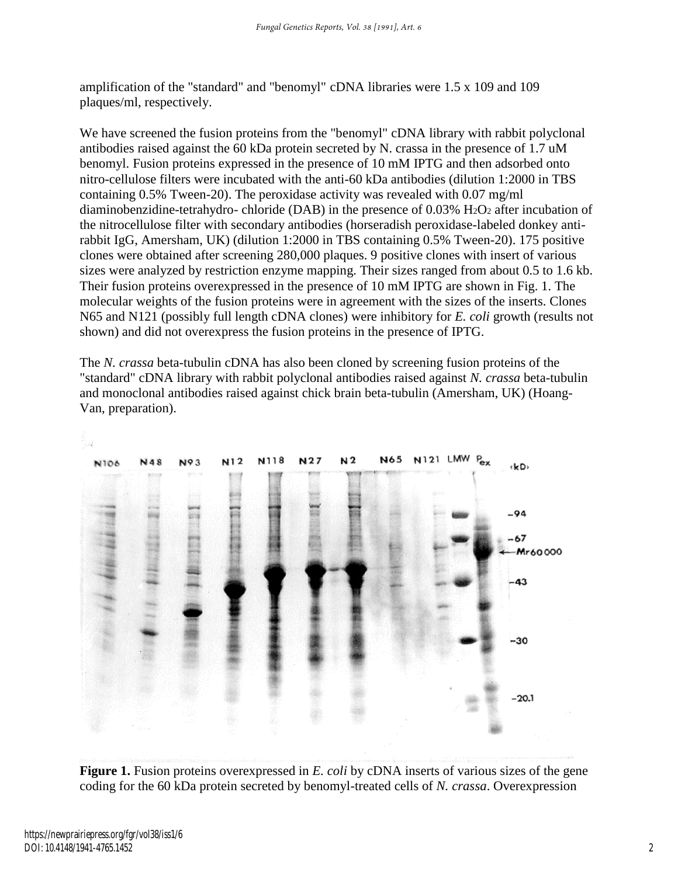amplification of the "standard" and "benomyl" cDNA libraries were 1.5 x 109 and 109 plaques/ml, respectively.

We have screened the fusion proteins from the "benomyl" cDNA library with rabbit polyclonal antibodies raised against the 60 kDa protein secreted by N. crassa in the presence of 1.7 uM benomyl. Fusion proteins expressed in the presence of 10 mM IPTG and then adsorbed onto nitro-cellulose filters were incubated with the anti-60 kDa antibodies (dilution 1:2000 in TBS containing 0.5% Tween-20). The peroxidase activity was revealed with 0.07 mg/ml diaminobenzidine-tetrahydro- chloride (DAB) in the presence of 0.03% H2O<sup>2</sup> after incubation of the nitrocellulose filter with secondary antibodies (horseradish peroxidase-labeled donkey antirabbit IgG, Amersham, UK) (dilution 1:2000 in TBS containing 0.5% Tween-20). 175 positive clones were obtained after screening 280,000 plaques. 9 positive clones with insert of various sizes were analyzed by restriction enzyme mapping. Their sizes ranged from about 0.5 to 1.6 kb. Their fusion proteins overexpressed in the presence of 10 mM IPTG are shown in Fig. 1. The molecular weights of the fusion proteins were in agreement with the sizes of the inserts. Clones N65 and N121 (possibly full length cDNA clones) were inhibitory for *E. coli* growth (results not shown) and did not overexpress the fusion proteins in the presence of IPTG.

The *N. crassa* beta-tubulin cDNA has also been cloned by screening fusion proteins of the "standard" cDNA library with rabbit polyclonal antibodies raised against *N. crassa* beta-tubulin and monoclonal antibodies raised against chick brain beta-tubulin (Amersham, UK) (Hoang-Van, preparation).